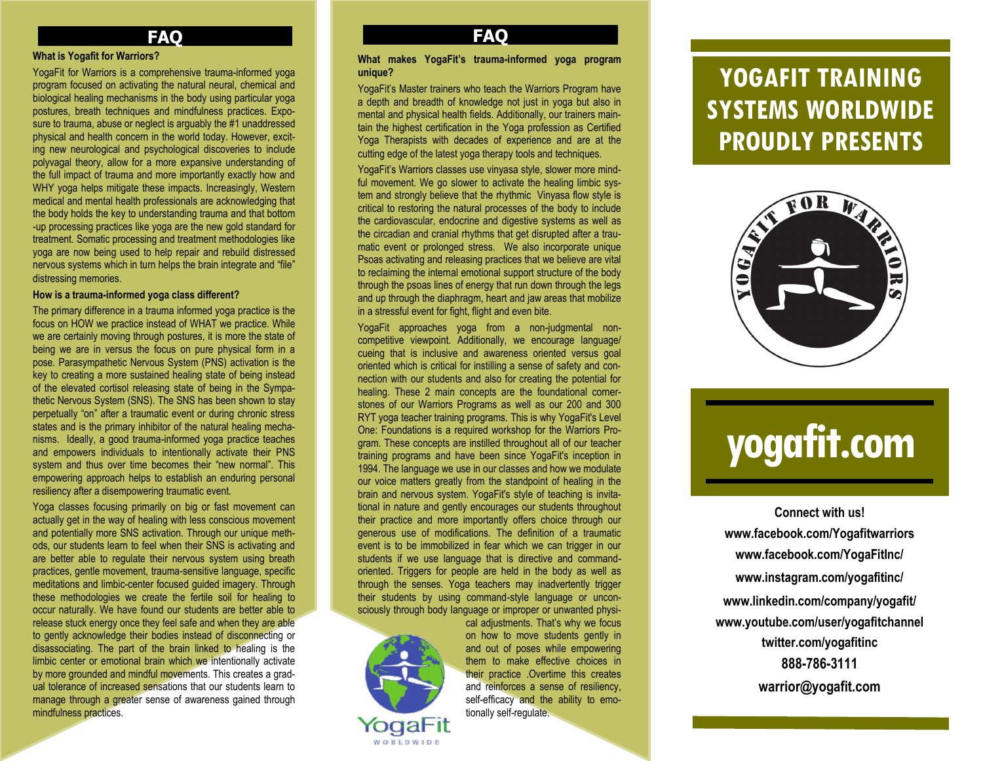# **FAQ**

#### **What is Yogafit for Warriors?**

YogaFit for Warriors is a comprehensive trauma-informed yoga program focused on activating the natural neural, chemical and biological healing mechanisms in the body using particular yoga postures, breath techniques and mindfulness practices. Exposure to trauma, abuse or neglect is arguably the #1 unaddressed physical and health concern in the world today. However, exciting new neurological and psychological discoveries to include polyvagal theory, allow for a more expansive understanding of the full impact of trauma and more importantly exactly how and WHY yoga helps mitigate these impacts. Increasingly, Western medical and mental health professionals are acknowledging that the body holds the key to understanding trauma and that bottom -up processing practices like yoga are the new gold standard for treatment. Somatic processing and treatment methodologies like yoga are now being used to help repair and rebuild distressed nervous systems which in turn helps the brain integrate and "file" distressing memories.

#### **How is a trauma-informed yoga class different?**

The primary difference in a trauma informed yoga practice is the focus on HOW we practice instead of WHAT we practice. While we are certainly moving through postures, it is more the state of being we are in versus the focus on pure physical form in a pose. Parasympathetic Nervous System (PNS) activation is the key to creating a more sustained healing state of being instead of the elevated cortisol releasing state of being in the Sympathetic Nervous System (SNS). The SNS has been shown to stay perpetually "on" after a traumatic event or during chronic stress states and is the primary inhibitor of the natural healing mechanisms. Ideally, a good trauma-informed yoga practice teaches and empowers individuals to intentionally activate their PNS system and thus over time becomes their "new normal". This empowering approach helps to establish an enduring personal resiliency after a disempowering traumatic event.

Yoga classes focusing primarily on big or fast movement can actually get in the way of healing with less conscious movement and potentially more SNS activation. Through our unique methods, our students learn to feel when their SNS is activating and are better able to regulate their nervous system using breath practices, gentle movement, trauma-sensitive language, specific meditations and limbic-center focused guided imagery. Through these methodologies we create the fertile soil for healing to occur naturally. We have found our students are better able to release stuck energy once they feel safe and when they are able to gently acknowledge their bodies instead of disconnecting or disassociating. The part of the brain linked to healing is the limbic center or emotional brain which we intentionally activate by more grounded and mindful movements. This creates a gradual tolerance of increased sensations that our students learn to manage through a greater sense of awareness gained through mindfulness practices.

# **FAQ**

#### **What makes YogaFit's trauma-informed yoga program unique?**

YogaFit's Master trainers who teach the Warriors Program have a depth and breadth of knowledge not just in yoga but also in mental and physical health fields. Additionally, our trainers maintain the highest certification in the Yoga profession as Certified Yoga Therapists with decades of experience and are at the cutting edge of the latest yoga therapy tools and techniques.

YogaFit's Warriors classes use vinyasa style, slower more mindful movement. We go slower to activate the healing limbic system and strongly believe that the rhythmic Vinyasa flow style is critical to restoring the natural processes of the body to include the cardiovascular, endocrine and digestive systems as well as the circadian and cranial rhythms that get disrupted after a traumatic event or prolonged stress. We also incorporate unique Psoas activating and releasing practices that we believe are vital to reclaiming the internal emotional support structure of the body through the psoas lines of energy that run down through the legs and up through the diaphragm, heart and jaw areas that mobilize in a stressful event for fight, flight and even bite.

YogaFit approaches yoga from a non-judgmental noncompetitive viewpoint. Additionally, we encourage language/ cueing that is inclusive and awareness oriented versus goal oriented which is critical for instilling a sense of safety and connection with our students and also for creating the potential for healing. These 2 main concepts are the foundational cornerstones of our Warriors Programs as well as our 200 and 300 RYT yoga teacher training programs. This is why YogaFit's Level One: Foundations is a required workshop for the Warriors Program. These concepts are instilled throughout all of our teacher training programs and have been since YogaFit's inception in 1994. The language we use in our classes and how we modulate our voice matters greatly from the standpoint of healing in the brain and nervous system. YogaFit's style of teaching is invitational in nature and gently encourages our students throughout their practice and more importantly offers choice through our generous use of modifications. The definition of a traumatic event is to be immobilized in fear which we can trigger in our students if we use language that is directive and commandoriented. Triggers for people are held in the body as well as through the senses. Yoga teachers may inadvertently trigger their students by using command-style language or unconsciously through body language or improper or unwanted physi-



cal adjustments. That's why we focus on how to move students gently in and out of poses while empowering them to make effective choices in their practice .Overtime this creates and reinforces a sense of resiliency, self-efficacy and the ability to emotionally self-regulate.

# **YOGAFIT TRAINING SYSTEMS WORLDWIDE PROUDLY PRESENTS**



# **yogafit.com**

**Connect with us! www.facebook.com/Yogafitwarriors www.facebook.com/YogaFitInc/ www.instagram.com/yogafitinc/ www.linkedin.com/company/yogafit/ www.youtube.com/user/yogafitchannel twitter.com/yogafitinc 888-786-3111 warrior@yogafit.com**